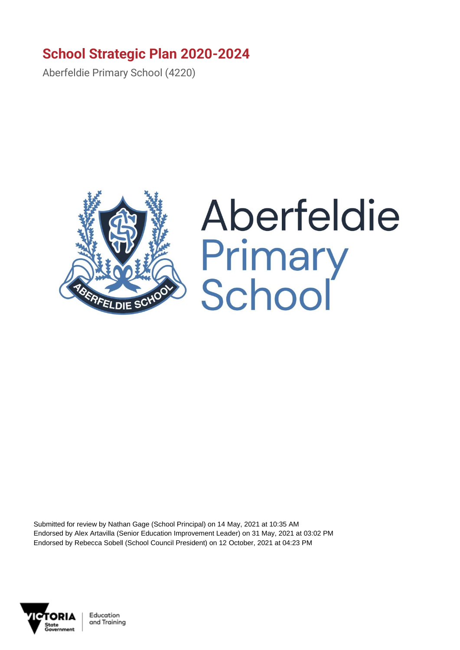## **School Strategic Plan 2020-2024**

Aberfeldie Primary School (4220)



## Aberfeldie **Primary<br>School**

Submitted for review by Nathan Gage (School Principal) on 14 May, 2021 at 10:35 AM Endorsed by Alex Artavilla (Senior Education Improvement Leader) on 31 May, 2021 at 03:02 PM Endorsed by Rebecca Sobell (School Council President) on 12 October, 2021 at 04:23 PM

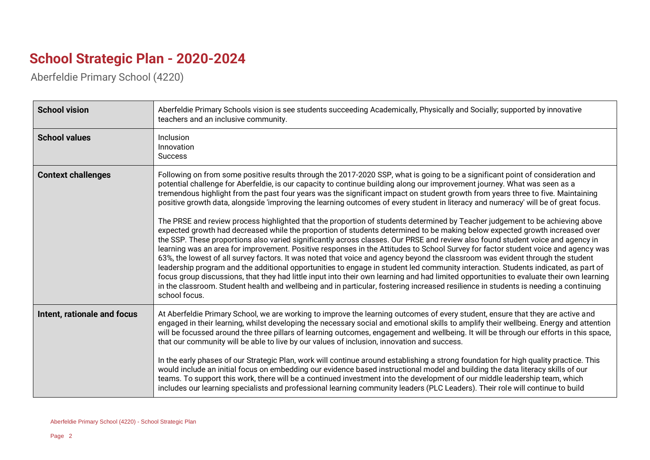## **School Strategic Plan - 2020-2024**

Aberfeldie Primary School (4220)

| <b>School vision</b>        | Aberfeldie Primary Schools vision is see students succeeding Academically, Physically and Socially; supported by innovative<br>teachers and an inclusive community.                                                                                                                                                                                                                                                                                                                                                                                                                                                                                                                                                                                                                                                                                                                                                                                                                                                                                                                                                                                                                                                                                                                                                                                                                                                                                                                                                                                                                                                                                            |
|-----------------------------|----------------------------------------------------------------------------------------------------------------------------------------------------------------------------------------------------------------------------------------------------------------------------------------------------------------------------------------------------------------------------------------------------------------------------------------------------------------------------------------------------------------------------------------------------------------------------------------------------------------------------------------------------------------------------------------------------------------------------------------------------------------------------------------------------------------------------------------------------------------------------------------------------------------------------------------------------------------------------------------------------------------------------------------------------------------------------------------------------------------------------------------------------------------------------------------------------------------------------------------------------------------------------------------------------------------------------------------------------------------------------------------------------------------------------------------------------------------------------------------------------------------------------------------------------------------------------------------------------------------------------------------------------------------|
| <b>School values</b>        | <b>Inclusion</b><br>Innovation<br><b>Success</b>                                                                                                                                                                                                                                                                                                                                                                                                                                                                                                                                                                                                                                                                                                                                                                                                                                                                                                                                                                                                                                                                                                                                                                                                                                                                                                                                                                                                                                                                                                                                                                                                               |
| <b>Context challenges</b>   | Following on from some positive results through the 2017-2020 SSP, what is going to be a significant point of consideration and<br>potential challenge for Aberfeldie, is our capacity to continue building along our improvement journey. What was seen as a<br>tremendous highlight from the past four years was the significant impact on student growth from years three to five. Maintaining<br>positive growth data, alongside 'improving the learning outcomes of every student in literacy and numeracy' will be of great focus.<br>The PRSE and review process highlighted that the proportion of students determined by Teacher judgement to be achieving above<br>expected growth had decreased while the proportion of students determined to be making below expected growth increased over<br>the SSP. These proportions also varied significantly across classes. Our PRSE and review also found student voice and agency in<br>learning was an area for improvement. Positive responses in the Attitudes to School Survey for factor student voice and agency was<br>63%, the lowest of all survey factors. It was noted that voice and agency beyond the classroom was evident through the student<br>leadership program and the additional opportunities to engage in student led community interaction. Students indicated, as part of<br>focus group discussions, that they had little input into their own learning and had limited opportunities to evaluate their own learning<br>in the classroom. Student health and wellbeing and in particular, fostering increased resilience in students is needing a continuing<br>school focus. |
| Intent, rationale and focus | At Aberfeldie Primary School, we are working to improve the learning outcomes of every student, ensure that they are active and<br>engaged in their learning, whilst developing the necessary social and emotional skills to amplify their wellbeing. Energy and attention<br>will be focussed around the three pillars of learning outcomes, engagement and wellbeing. It will be through our efforts in this space,<br>that our community will be able to live by our values of inclusion, innovation and success.<br>In the early phases of our Strategic Plan, work will continue around establishing a strong foundation for high quality practice. This<br>would include an initial focus on embedding our evidence based instructional model and building the data literacy skills of our<br>teams. To support this work, there will be a continued investment into the development of our middle leadership team, which<br>includes our learning specialists and professional learning community leaders (PLC Leaders). Their role will continue to build                                                                                                                                                                                                                                                                                                                                                                                                                                                                                                                                                                                              |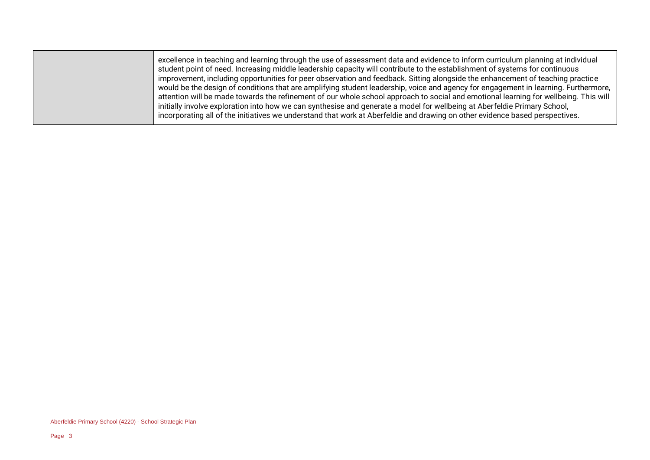excellence in teaching and learning through the use of assessment data and evidence to inform curriculum planning at individual student point of need. Increasing middle leadership capacity will contribute to the establishment of systems for continuous improvement, including opportunities for peer observation and feedback. Sitting alongside the enhancement of teaching practice would be the design of conditions that are amplifying student leadership, voice and agency for engagement in learning. Furthermore, attention will be made towards the refinement of our whole school approach to social and emotional learning for wellbeing. This will initially involve exploration into how we can synthesise and generate a model for wellbeing at Aberfeldie Primary School, incorporating all of the initiatives we understand that work at Aberfeldie and drawing on other evidence based perspectives.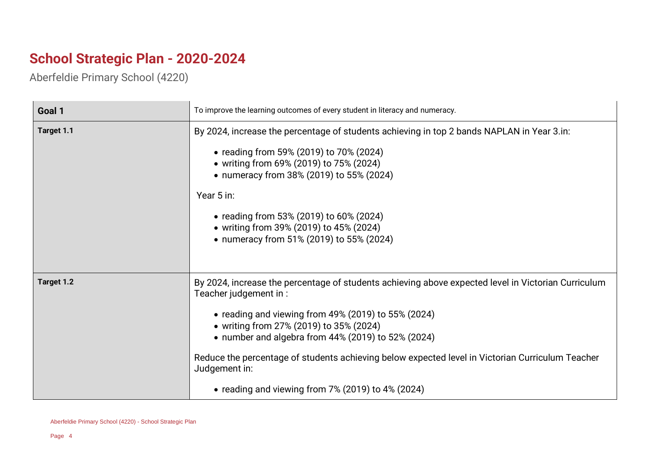## **School Strategic Plan - 2020-2024**

Aberfeldie Primary School (4220)

| Goal 1     | To improve the learning outcomes of every student in literacy and numeracy.                                                                                                                                                                                                                                                                                                                                                                                          |
|------------|----------------------------------------------------------------------------------------------------------------------------------------------------------------------------------------------------------------------------------------------------------------------------------------------------------------------------------------------------------------------------------------------------------------------------------------------------------------------|
| Target 1.1 | By 2024, increase the percentage of students achieving in top 2 bands NAPLAN in Year 3.in:<br>• reading from 59% (2019) to 70% (2024)<br>• writing from 69% (2019) to 75% (2024)<br>• numeracy from 38% (2019) to 55% (2024)<br>Year 5 in:<br>• reading from 53% (2019) to 60% (2024)<br>• writing from 39% (2019) to 45% (2024)<br>• numeracy from 51% (2019) to 55% (2024)                                                                                         |
| Target 1.2 | By 2024, increase the percentage of students achieving above expected level in Victorian Curriculum<br>Teacher judgement in:<br>• reading and viewing from $49\%$ (2019) to 55% (2024)<br>• writing from 27% (2019) to 35% (2024)<br>• number and algebra from $44\%$ (2019) to 52% (2024)<br>Reduce the percentage of students achieving below expected level in Victorian Curriculum Teacher<br>Judgement in:<br>• reading and viewing from 7% (2019) to 4% (2024) |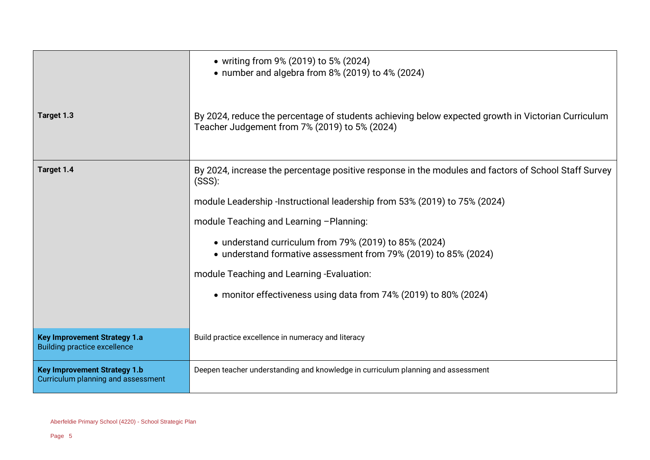|                                                                            | • writing from 9% (2019) to 5% (2024)<br>• number and algebra from 8% (2019) to 4% (2024)                                                                                                                                                                                                                                                                                                                                                                                            |
|----------------------------------------------------------------------------|--------------------------------------------------------------------------------------------------------------------------------------------------------------------------------------------------------------------------------------------------------------------------------------------------------------------------------------------------------------------------------------------------------------------------------------------------------------------------------------|
| Target 1.3                                                                 | By 2024, reduce the percentage of students achieving below expected growth in Victorian Curriculum<br>Teacher Judgement from 7% (2019) to 5% (2024)                                                                                                                                                                                                                                                                                                                                  |
| Target 1.4                                                                 | By 2024, increase the percentage positive response in the modules and factors of School Staff Survey<br>(SSS):<br>module Leadership -Instructional leadership from 53% (2019) to 75% (2024)<br>module Teaching and Learning - Planning:<br>• understand curriculum from 79% (2019) to 85% (2024)<br>• understand formative assessment from 79% (2019) to 85% (2024)<br>module Teaching and Learning -Evaluation:<br>• monitor effectiveness using data from 74% (2019) to 80% (2024) |
| <b>Key Improvement Strategy 1.a</b><br><b>Building practice excellence</b> | Build practice excellence in numeracy and literacy                                                                                                                                                                                                                                                                                                                                                                                                                                   |
| <b>Key Improvement Strategy 1.b</b><br>Curriculum planning and assessment  | Deepen teacher understanding and knowledge in curriculum planning and assessment                                                                                                                                                                                                                                                                                                                                                                                                     |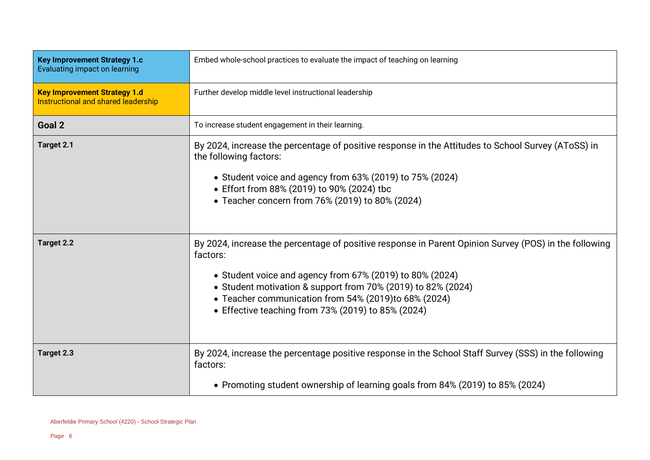| <b>Key Improvement Strategy 1.c</b><br>Evaluating impact on learning       | Embed whole-school practices to evaluate the impact of teaching on learning                                                                                                                                                                                                                                                                                 |
|----------------------------------------------------------------------------|-------------------------------------------------------------------------------------------------------------------------------------------------------------------------------------------------------------------------------------------------------------------------------------------------------------------------------------------------------------|
| <b>Key Improvement Strategy 1.d</b><br>Instructional and shared leadership | Further develop middle level instructional leadership                                                                                                                                                                                                                                                                                                       |
| Goal 2                                                                     | To increase student engagement in their learning.                                                                                                                                                                                                                                                                                                           |
| Target 2.1                                                                 | By 2024, increase the percentage of positive response in the Attitudes to School Survey (AToSS) in<br>the following factors:<br>• Student voice and agency from 63% (2019) to 75% (2024)<br>• Effort from 88% (2019) to 90% (2024) tbc<br>• Teacher concern from 76% (2019) to 80% (2024)                                                                   |
| Target 2.2                                                                 | By 2024, increase the percentage of positive response in Parent Opinion Survey (POS) in the following<br>factors:<br>• Student voice and agency from 67% (2019) to 80% (2024)<br>• Student motivation & support from 70% (2019) to 82% (2024)<br>• Teacher communication from 54% (2019)to 68% (2024)<br>• Effective teaching from 73% (2019) to 85% (2024) |
| Target 2.3                                                                 | By 2024, increase the percentage positive response in the School Staff Survey (SSS) in the following<br>factors:                                                                                                                                                                                                                                            |
|                                                                            | • Promoting student ownership of learning goals from 84% (2019) to 85% (2024)                                                                                                                                                                                                                                                                               |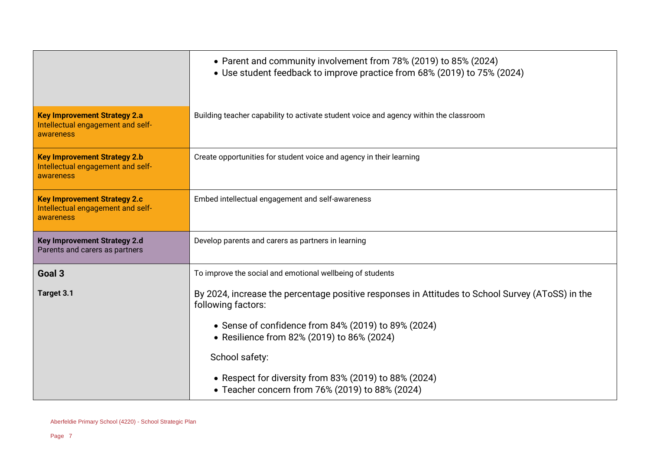|                                                                                       | • Parent and community involvement from 78% (2019) to 85% (2024)<br>• Use student feedback to improve practice from 68% (2019) to 75% (2024)                                                                                                                                                                                                              |
|---------------------------------------------------------------------------------------|-----------------------------------------------------------------------------------------------------------------------------------------------------------------------------------------------------------------------------------------------------------------------------------------------------------------------------------------------------------|
| <b>Key Improvement Strategy 2.a</b><br>Intellectual engagement and self-<br>awareness | Building teacher capability to activate student voice and agency within the classroom                                                                                                                                                                                                                                                                     |
| <b>Key Improvement Strategy 2.b</b><br>Intellectual engagement and self-<br>awareness | Create opportunities for student voice and agency in their learning                                                                                                                                                                                                                                                                                       |
| <b>Key Improvement Strategy 2.c</b><br>Intellectual engagement and self-<br>awareness | Embed intellectual engagement and self-awareness                                                                                                                                                                                                                                                                                                          |
| Key Improvement Strategy 2.d<br>Parents and carers as partners                        | Develop parents and carers as partners in learning                                                                                                                                                                                                                                                                                                        |
| Goal 3                                                                                | To improve the social and emotional wellbeing of students                                                                                                                                                                                                                                                                                                 |
| Target 3.1                                                                            | By 2024, increase the percentage positive responses in Attitudes to School Survey (AToSS) in the<br>following factors:<br>• Sense of confidence from 84% (2019) to 89% (2024)<br>• Resilience from 82% (2019) to 86% (2024)<br>School safety:<br>• Respect for diversity from 83% (2019) to 88% (2024)<br>• Teacher concern from 76% (2019) to 88% (2024) |